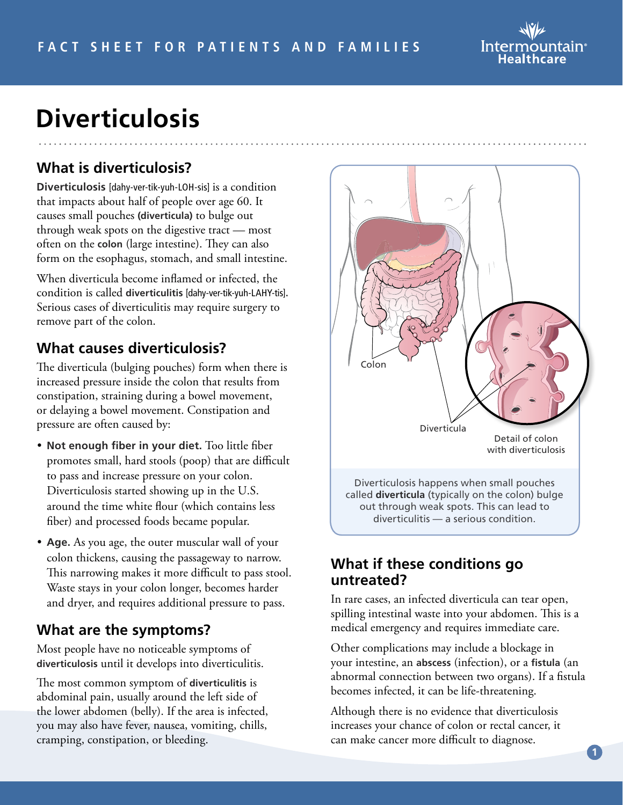

# **Diverticulosis**

## **What is diverticulosis?**

**Diverticulosis** [dahy-ver-tik-yuh-LOH-sis] is a condition that impacts about half of people over age 60. It causes small pouches **(diverticula)** to bulge out through weak spots on the digestive tract — most often on the **colon** (large intestine). They can also form on the esophagus, stomach, and small intestine.

When diverticula become inflamed or infected, the condition is called **diverticulitis** [dahy-ver-tik-yuh-LAHY-tis]**.** Serious cases of diverticulitis may require surgery to remove part of the colon.

### **What causes diverticulosis?**

The diverticula (bulging pouches) form when there is increased pressure inside the colon that results from constipation, straining during a bowel movement, or delaying a bowel movement. Constipation and pressure are often caused by:

- **Not enough fiber in your diet.** Too little fiber promotes small, hard stools (poop) that are difficult to pass and increase pressure on your colon. Diverticulosis started showing up in the U.S. around the time white flour (which contains less fiber) and processed foods became popular.
- **Age.** As you age, the outer muscular wall of your colon thickens, causing the passageway to narrow. This narrowing makes it more difficult to pass stool. Waste stays in your colon longer, becomes harder and dryer, and requires additional pressure to pass.

#### **What are the symptoms?**

Most people have no noticeable symptoms of **diverticulosis** until it develops into diverticulitis.

The most common symptom of **diverticulitis** is abdominal pain, usually around the left side of the lower abdomen (belly). If the area is infected, you may also have fever, nausea, vomiting, chills, cramping, constipation, or bleeding.



#### **What if these conditions go untreated?**

In rare cases, an infected diverticula can tear open, spilling intestinal waste into your abdomen. This is a medical emergency and requires immediate care.

Other complications may include a blockage in your intestine, an **abscess** (infection), or a **fistula** (an abnormal connection between two organs). If a fistula becomes infected, it can be life-threatening.

Although there is no evidence that diverticulosis increases your chance of colon or rectal cancer, it can make cancer more difficult to diagnose.